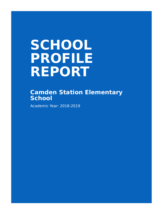# **SCHOOL PROFILE REPORT**

## **Camden Station Elementary School**

Academic Year: 2018-2019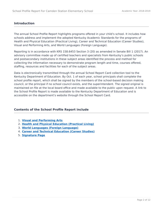#### **Introduction**

The annual School Profile Report highlights programs offered in your child's school. It includes how schools address and implement the adopted Kentucky Academic Standards for the programs of Health and Physical Education (Practical Living), Career and Technical Education (Career Studies), Visual and Performing Arts, and World Languages (Foreign Language).

Reporting is in accordance with KRS 158.6453 Section 3 (20) as amended in Senate Bill 1 (2017). An advisory committee made up of certified teachers and specialists from Kentucky's public schools and postsecondary institutions in these subject areas identified the process and method for collecting the information necessary to demonstrate program length and time, courses offered, staffing, resources and facilities for each of the subject areas.

Data is electronically transmitted through the annual School Report Card collection tool to the Kentucky Department of Education. By Oct. 1 of each year, school principals shall complete the school profile report, which shall be signed by the members of the school-based decision making council, or the principal if no school council exists, and the superintendent. The signed original is maintained on file at the local board office and made available to the public upon request. A link to the School Profile Report is made available to the Kentucky Department of Education and is accessible on the department's website through the School Report Card.

#### **Contents of the School Profile Report include**

- 1. **[Visual and Performing Arts](/modules/kde/status/53055/downloads#section1)**
- 2. **[Health and Physical Education \(Practical Living\)](/modules/kde/status/53055/downloads#section2)**
- 3. **[World Languages \(Foreign Language\)](/modules/kde/status/53055/downloads#section3)**
- 4. **[Career and Technical Education \(Career Studies\)](/modules/kde/status/53055/downloads#section4)**
- 5. **[Signature Page](/modules/kde/status/53055/downloads#section5)**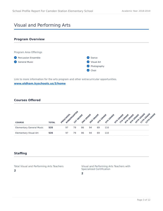### Visual and Performing Arts

#### **Program Overview**



Link to more information for the arts program and other extracurricular opportunities.

#### **[www.oldham.kyschools.us/3/home](https://www.oldham.kyschools.us/3/home)**

#### **Courses Offered**

|                                 |              |    |    |    |    |    | cuookecaser capoe aapoe gapoe arge straegist capoe | Forth GRAPS GRAPS GRAPS GRAPS GRAPS GRAPS |
|---------------------------------|--------------|----|----|----|----|----|----------------------------------------------------|-------------------------------------------|
| <b>COURSE</b>                   | <b>TOTAL</b> |    |    |    |    |    |                                                    |                                           |
| <b>Elementary General Music</b> | 535          | 97 | 79 | 86 | 94 | 69 | 110                                                |                                           |
| <b>Elementary Visual Art</b>    | 535          | 97 | 79 | 86 | 94 | 69 | 110                                                |                                           |

#### **Staffing**

Total Visual and Performing Arts Teachers **2**

Visual and Performing Arts Teachers with Specialized Certification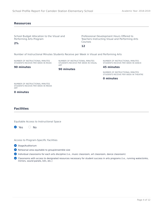#### **Resources**

School Budget Allocation to the Visual and Performing Arts Program

**2%**

Professional Development Hours Offered to Teachers Instructing Visual and Performing Arts Courses

**12**

Number of Instructional Minutes Students Receive per Week in Visual and Performing Arts

NUMBER OF INSTRUCTIONAL MINUTES STUDENTS RECEIVE PER WEEK IN MUSIC NUMBER OF INSTRUCTIONAL MINUTES STUDENTS RECEIVE PER WEEK IN VISUAL ART

#### **90 minutes**

**90 minutes**

NUMBER OF INSTRUCTIONAL MINUTES STUDENTS RECEIVE PER WEEK IN DANCE

#### **45 minutes**

NUMBER OF INSTRUCTIONAL MINUTES STUDENTS RECEIVE PER WEEK IN THEATRE

**0 minutes**

NUMBER OF INSTRUCTIONAL MINUTES STUDENTS RECEIVE PER WEEK IN MEDIA ART

#### **0 minutes**

#### **Facilities**

Equitable Access to Instructional Space

 $\bullet$  Yes  $\circ$  No

Access to Program-Specific Facilities

- Stage/Auditorium
- $\triangleright$  Rehearsal area equitable to group/ensemble size
- Individual classrooms for each arts discipline (i.e., music classroom, art classroom, dance classroom)
- Classrooms with access to designated resources necessary for student success in arts programs (i.e., running water/sinks, mirrors, sound panels, kiln, etc.)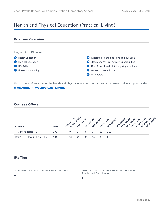## Health and Physical Education (Practical Living)



Link to more information for the health and physical education program and other extracurricular opportunities. **[www.oldham.kyschools.us/3/home](https://www.oldham.kyschools.us/3/home)**

#### **Courses Offered**

| <b>COURSE</b>                  | <b>TOTAL</b> | KINDERGARY |    |    |    |    | 15Y GRADE GRADE GRADE GRADE STH GRADE | lorr Lith 2 2th Gapor<br>GTH GRAD GRADY<br>CRY |
|--------------------------------|--------------|------------|----|----|----|----|---------------------------------------|------------------------------------------------|
| 4-5 Intermediate P.E           | 179          |            |    |    |    | 69 | 110                                   |                                                |
| K-3 Primary Physical Education | 356          | 97         | 79 | 86 | 94 |    |                                       |                                                |

#### **Staffing**

Total Health and Physical Education Teachers **1**

Health and Physical Education Teachers with Specialized Certification

**1**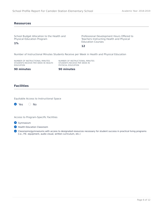#### **Resources**

School Budget Allocation to the Health and Physical Education Program

**1%**

Professional Development Hours Offered to Teachers Instructing Health and Physical Education Courses

**12**

Number of Instructional Minutes Students Receive per Week in Health and Physical Education

NUMBER OF INSTRUCTIONAL MINUTES STUDENTS RECEIVE PER WEEK IN HEALTH EDUCATION

NUMBER OF INSTRUCTIONAL MINUTES STUDENTS RECEIVE PER WEEK IN PHYSICAL EDUCATION

**90 minutes**

**90 minutes**

#### **Facilities**

Equitable Access to Instructional Space

| l v | Yes | No |
|-----|-----|----|
|     |     |    |

Access to Program-Specific Facilities

Gymnasium

**Health Education Classroom** 

C Classrooms/gymnasiums with access to designated resources necessary for student success in practical living programs (i.e., P.E. equipment, audio visual, written curriculum, etc.)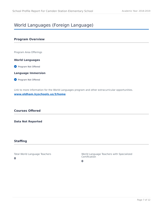## World Languages (Foreign Language)

#### **Program Overview**

Program Area Offerings

#### **World Languages**

**Program Not Offered** 

#### **Language Immersion**

**Program Not Offered** 

Link to more information for the World Languages program and other extracurricular opportunities. **[www.oldham.kyschools.us/3/home](https://www.oldham.kyschools.us/3/home)**

#### **Courses Offered**

#### **Data Not Reported**

#### **Staffing**

Total World Language Teachers **0**

World Language Teachers with Specialized Certification

#### **0**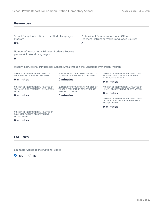#### **Resources**

School Budget Allocation to the World Languages Program

**0%**

Professional Development Hours Offered to Teachers Instructing World Languages Courses

**0**

Number of Instructional Minutes Students Receive per Week in World Languages

#### **0**

Weekly Instructional Minutes per Content Area through the Language Immersion Program

NUMBER OF INSTRUCTIONAL MINUTES OF MATH STUDENTS HAVE ACCESS WEEKLY

NUMBER OF INSTRUCTIONAL MINUTES OF SCIENCE STUDENTS HAVE ACCESS WEEKLY

NUMBER OF INSTRUCTIONAL MINUTES OF

#### **0 minutes**

NUMBER OF INSTRUCTIONAL MINUTES OF SOCIAL STUDIES STUDENTS HAVE ACCESS WEEKLY

**0 minutes**

VISUAL & PERFORMING ARTS STUDENTS HAVE ACCESS WEEKLY

#### **0 minutes**

**0 minutes**

NUMBER OF INSTRUCTIONAL MINUTES OF ENGLISH LANGUAGE ARTS STUDENTS HAVE ACCESS WEEKLY

#### **0 minutes**

NUMBER OF INSTRUCTIONAL MINUTES OF HEALTH STUDENTS HAVE ACCESS WEEKLY

#### **0 minutes**

NUMBER OF INSTRUCTIONAL MINUTES OF PHYSICAL EDUCATION STUDENTS HAVE ACCESS WEEKLY

#### **0 minutes**

NUMBER OF INSTRUCTIONAL MINUTES OF COMPUTER SCIENCE STUDENTS HAVE ACCESS WEEKLY

#### **0 minutes**

#### **Facilities**

Equitable Access to Instructional Space

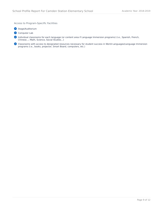Access to Program-Specific Facilities

Stage/Auditorium

Computer Lab

Individual classrooms for each language (or content area if Language Immersion programs) (i.e., Spanish, French, Chinese...; Math, Science, Social Studies...)

Classrooms with access to designated resources necessary for student success in World Languages/Language Immersion programs (i.e., books, projector, Smart Board, computers, etc.)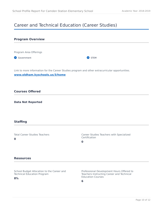## Career and Technical Education (Career Studies)

| <b>Program Overview</b>                                                                                                            |                                                                                                                         |
|------------------------------------------------------------------------------------------------------------------------------------|-------------------------------------------------------------------------------------------------------------------------|
| Program Area Offerings                                                                                                             |                                                                                                                         |
| Government                                                                                                                         | STEM                                                                                                                    |
| Link to more information for the Career Studies program and other extracurricular opportunities.<br>www.oldham.kyschools.us/3/home |                                                                                                                         |
| <b>Courses Offered</b>                                                                                                             |                                                                                                                         |
| <b>Data Not Reported</b>                                                                                                           |                                                                                                                         |
| <b>Staffing</b>                                                                                                                    |                                                                                                                         |
| <b>Total Career Studies Teachers</b><br>$\bf{O}$                                                                                   | Career Studies Teachers with Specialized<br>Certification<br>$\bf{0}$                                                   |
| <b>Resources</b>                                                                                                                   |                                                                                                                         |
| School Budget Allocation to the Career and<br><b>Technical Education Program</b><br>8%                                             | Professional Development Hours Offered to<br>Teachers Instructing Career and Technical<br><b>Education Courses</b><br>6 |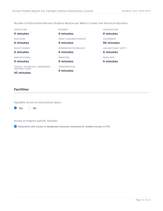Number of Instructional Minutes Students Receive per Week in Career and Technical Education

| <b>AGRICULTURE</b>                                                             | <b>BUSINESS</b>                 | <b>CONSTRUCTION</b>          |
|--------------------------------------------------------------------------------|---------------------------------|------------------------------|
| 0 minutes                                                                      | 0 minutes                       | 0 minutes                    |
| <b>EDUCATION</b>                                                               | <b>FAMILY CONSUMER SCIENCES</b> | <b>GOVERNMENT</b>            |
| 0 minutes                                                                      | 0 minutes                       | 90 minutes                   |
| <b>HEALTH SCIENCE</b>                                                          | <b>INFORMATION TECHNOLOGY</b>   | <b>LAW AND PUBLIC SAFETY</b> |
| 0 minutes                                                                      | 0 minutes                       | 0 minutes                    |
| <b>MANUFACTURING</b>                                                           | <b>MARKETING</b>                | <b>MEDIA ARTS</b>            |
| 0 minutes                                                                      | 0 minutes                       | 0 minutes                    |
| SCIENCE, TECHNOLOGY, ENGINEERING                                               | <b>TRANSPORTATION</b>           |                              |
| AND MATH (STEM)<br>$\mathbf{A}$ . The contract of the contract of $\mathbf{A}$ | 0 minutes                       |                              |

**45 minutes**

#### **Facilities**

Equitable Access to Instructional Space



Access to Program-Specific Facilities

Classrooms with access to designated resources necessary for student success in CTE